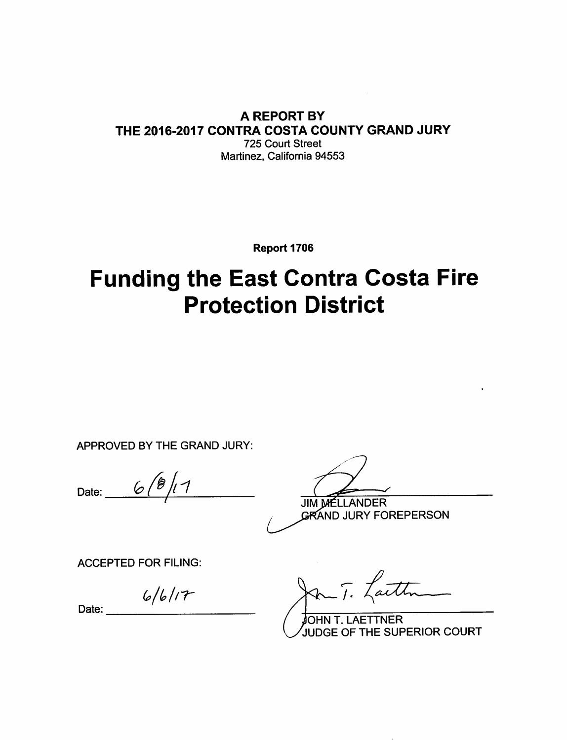#### **A REPORT BY** THE 2016-2017 CONTRA COSTA COUNTY GRAND JURY 725 Court Street Martinez, California 94553

Report 1706

# **Funding the East Contra Costa Fire Protection District**

APPROVED BY THE GRAND JURY:

Date:  $6/8/17$ 

**JIM MELLANDER GRAND JURY FOREPERSON** 

**ACCEPTED FOR FILING:** 

 $6/6/17$ 

Date:

Jan T. Lauth

JOHN T. LAETTNER JUDGE OF THE SUPERIOR COURT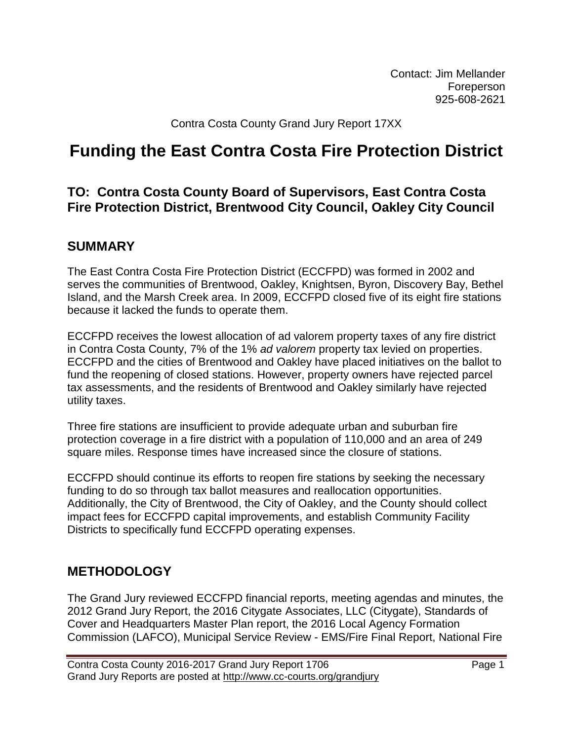Contact: Jim Mellander Foreperson 925-608-2621

Contra Costa County Grand Jury Report 17XX

# **Funding the East Contra Costa Fire Protection District**

#### **TO: Contra Costa County Board of Supervisors, East Contra Costa Fire Protection District, Brentwood City Council, Oakley City Council**

#### **SUMMARY**

The East Contra Costa Fire Protection District (ECCFPD) was formed in 2002 and serves the communities of Brentwood, Oakley, Knightsen, Byron, Discovery Bay, Bethel Island, and the Marsh Creek area. In 2009, ECCFPD closed five of its eight fire stations because it lacked the funds to operate them.

ECCFPD receives the lowest allocation of ad valorem property taxes of any fire district in Contra Costa County, 7% of the 1% *ad valorem* property tax levied on properties. ECCFPD and the cities of Brentwood and Oakley have placed initiatives on the ballot to fund the reopening of closed stations. However, property owners have rejected parcel tax assessments, and the residents of Brentwood and Oakley similarly have rejected utility taxes.

Three fire stations are insufficient to provide adequate urban and suburban fire protection coverage in a fire district with a population of 110,000 and an area of 249 square miles. Response times have increased since the closure of stations.

ECCFPD should continue its efforts to reopen fire stations by seeking the necessary funding to do so through tax ballot measures and reallocation opportunities. Additionally, the City of Brentwood, the City of Oakley, and the County should collect impact fees for ECCFPD capital improvements, and establish Community Facility Districts to specifically fund ECCFPD operating expenses.

#### **METHODOLOGY**

The Grand Jury reviewed ECCFPD financial reports, meeting agendas and minutes, the 2012 Grand Jury Report, the 2016 Citygate Associates, LLC (Citygate), Standards of Cover and Headquarters Master Plan report, the 2016 Local Agency Formation Commission (LAFCO), Municipal Service Review - EMS/Fire Final Report, National Fire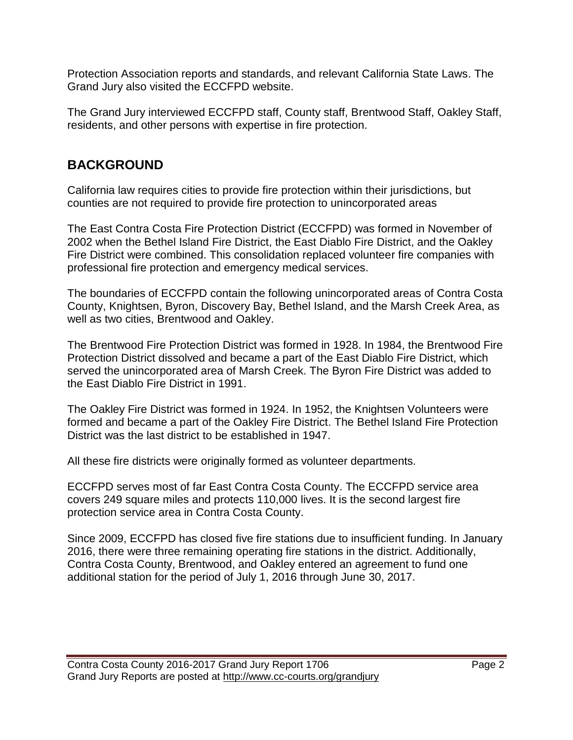Protection Association reports and standards, and relevant California State Laws. The Grand Jury also visited the ECCFPD website.

The Grand Jury interviewed ECCFPD staff, County staff, Brentwood Staff, Oakley Staff, residents, and other persons with expertise in fire protection.

# **BACKGROUND**

California law requires cities to provide fire protection within their jurisdictions, but counties are not required to provide fire protection to unincorporated areas

The East Contra Costa Fire Protection District (ECCFPD) was formed in November of 2002 when the Bethel Island Fire District, the East Diablo Fire District, and the Oakley Fire District were combined. This consolidation replaced volunteer fire companies with professional fire protection and emergency medical services.

The boundaries of ECCFPD contain the following unincorporated areas of Contra Costa County, Knightsen, Byron, Discovery Bay, Bethel Island, and the Marsh Creek Area, as well as two cities, Brentwood and Oakley.

The Brentwood Fire Protection District was formed in 1928. In 1984, the Brentwood Fire Protection District dissolved and became a part of the East Diablo Fire District, which served the unincorporated area of Marsh Creek. The Byron Fire District was added to the East Diablo Fire District in 1991.

The Oakley Fire District was formed in 1924. In 1952, the Knightsen Volunteers were formed and became a part of the Oakley Fire District. The Bethel Island Fire Protection District was the last district to be established in 1947.

All these fire districts were originally formed as volunteer departments.

ECCFPD serves most of far East Contra Costa County. The ECCFPD service area covers 249 square miles and protects 110,000 lives. It is the second largest fire protection service area in Contra Costa County.

Since 2009, ECCFPD has closed five fire stations due to insufficient funding. In January 2016, there were three remaining operating fire stations in the district. Additionally, Contra Costa County, Brentwood, and Oakley entered an agreement to fund one additional station for the period of July 1, 2016 through June 30, 2017.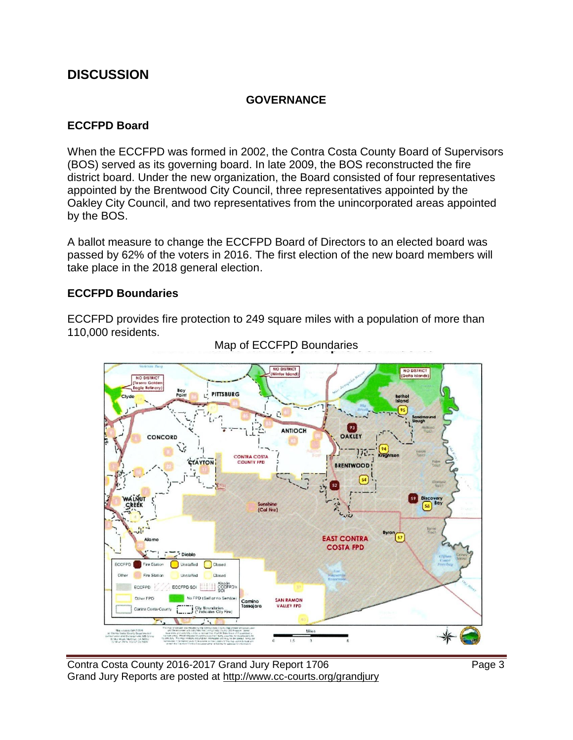#### **DISCUSSION**

#### **GOVERNANCE**

#### **ECCFPD Board**

When the ECCFPD was formed in 2002, the Contra Costa County Board of Supervisors (BOS) served as its governing board. In late 2009, the BOS reconstructed the fire district board. Under the new organization, the Board consisted of four representatives appointed by the Brentwood City Council, three representatives appointed by the Oakley City Council, and two representatives from the unincorporated areas appointed by the BOS.

A ballot measure to change the ECCFPD Board of Directors to an elected board was passed by 62% of the voters in 2016. The first election of the new board members will take place in the 2018 general election.

#### **ECCFPD Boundaries**

ECCFPD provides fire protection to 249 square miles with a population of more than 110,000 residents.



Map of ECCFPD Boundaries

Contra Costa County 2016-2017 Grand Jury Report 1706 **Page 3** Grand Jury Reports are posted at http://www.cc-courts.org/grandjury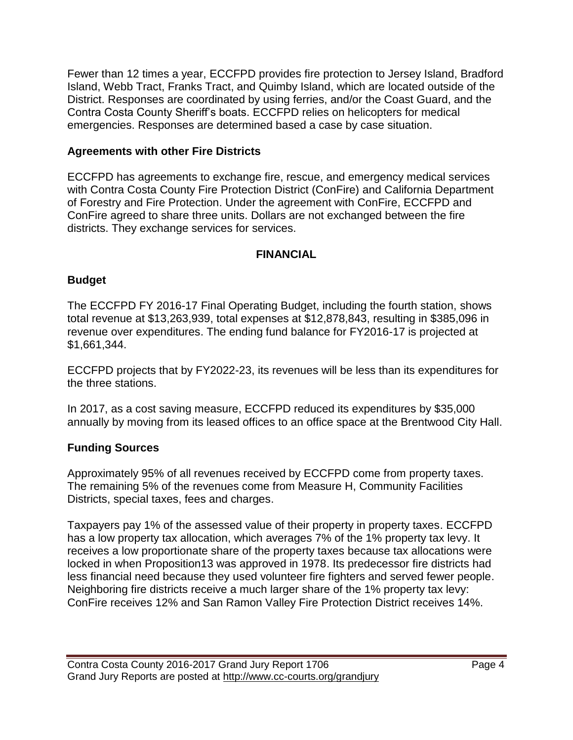Fewer than 12 times a year, ECCFPD provides fire protection to Jersey Island, Bradford Island, Webb Tract, Franks Tract, and Quimby Island, which are located outside of the District. Responses are coordinated by using ferries, and/or the Coast Guard, and the Contra Costa County Sheriff's boats. ECCFPD relies on helicopters for medical emergencies. Responses are determined based a case by case situation.

#### **Agreements with other Fire Districts**

ECCFPD has agreements to exchange fire, rescue, and emergency medical services with Contra Costa County Fire Protection District (ConFire) and California Department of Forestry and Fire Protection. Under the agreement with ConFire, ECCFPD and ConFire agreed to share three units. Dollars are not exchanged between the fire districts. They exchange services for services.

#### **FINANCIAL**

#### **Budget**

The ECCFPD FY 2016-17 Final Operating Budget, including the fourth station, shows total revenue at \$13,263,939, total expenses at \$12,878,843, resulting in \$385,096 in revenue over expenditures. The ending fund balance for FY2016-17 is projected at \$1,661,344.

ECCFPD projects that by FY2022-23, its revenues will be less than its expenditures for the three stations.

In 2017, as a cost saving measure, ECCFPD reduced its expenditures by \$35,000 annually by moving from its leased offices to an office space at the Brentwood City Hall.

#### **Funding Sources**

Approximately 95% of all revenues received by ECCFPD come from property taxes. The remaining 5% of the revenues come from Measure H, Community Facilities Districts, special taxes, fees and charges.

Taxpayers pay 1% of the assessed value of their property in property taxes. ECCFPD has a low property tax allocation, which averages 7% of the 1% property tax levy. It receives a low proportionate share of the property taxes because tax allocations were locked in when Proposition13 was approved in 1978. Its predecessor fire districts had less financial need because they used volunteer fire fighters and served fewer people. Neighboring fire districts receive a much larger share of the 1% property tax levy: ConFire receives 12% and San Ramon Valley Fire Protection District receives 14%.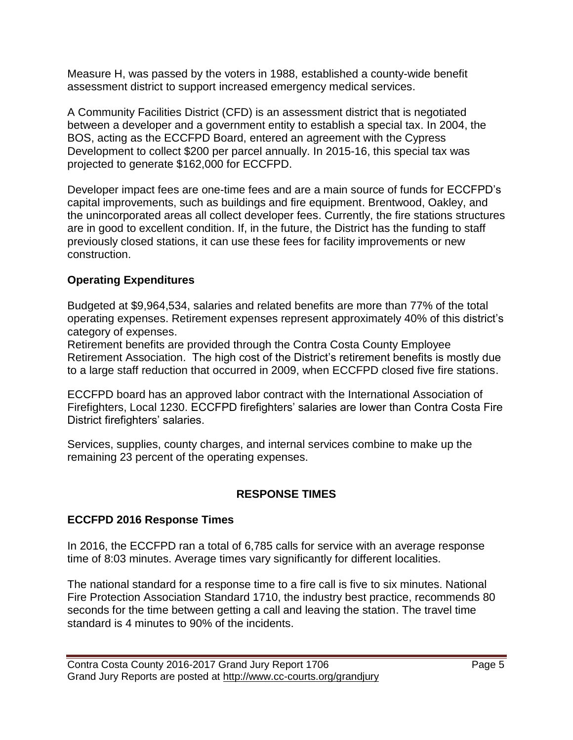Measure H, was passed by the voters in 1988, established a county-wide benefit assessment district to support increased emergency medical services.

A Community Facilities District (CFD) is an assessment district that is negotiated between a developer and a government entity to establish a special tax. In 2004, the BOS, acting as the ECCFPD Board, entered an agreement with the Cypress Development to collect \$200 per parcel annually. In 2015-16, this special tax was projected to generate \$162,000 for ECCFPD.

Developer impact fees are one-time fees and are a main source of funds for ECCFPD's capital improvements, such as buildings and fire equipment. Brentwood, Oakley, and the unincorporated areas all collect developer fees. Currently, the fire stations structures are in good to excellent condition. If, in the future, the District has the funding to staff previously closed stations, it can use these fees for facility improvements or new construction.

#### **Operating Expenditures**

Budgeted at \$9,964,534, salaries and related benefits are more than 77% of the total operating expenses. Retirement expenses represent approximately 40% of this district's category of expenses.

Retirement benefits are provided through the Contra Costa County Employee Retirement Association. The high cost of the District's retirement benefits is mostly due to a large staff reduction that occurred in 2009, when ECCFPD closed five fire stations.

ECCFPD board has an approved labor contract with the International Association of Firefighters, Local 1230. ECCFPD firefighters' salaries are lower than Contra Costa Fire District firefighters' salaries.

Services, supplies, county charges, and internal services combine to make up the remaining 23 percent of the operating expenses.

#### **RESPONSE TIMES**

#### **ECCFPD 2016 Response Times**

In 2016, the ECCFPD ran a total of 6,785 calls for service with an average response time of 8:03 minutes. Average times vary significantly for different localities.

The national standard for a response time to a fire call is five to six minutes. National Fire Protection Association Standard 1710, the industry best practice, recommends 80 seconds for the time between getting a call and leaving the station. The travel time standard is 4 minutes to 90% of the incidents.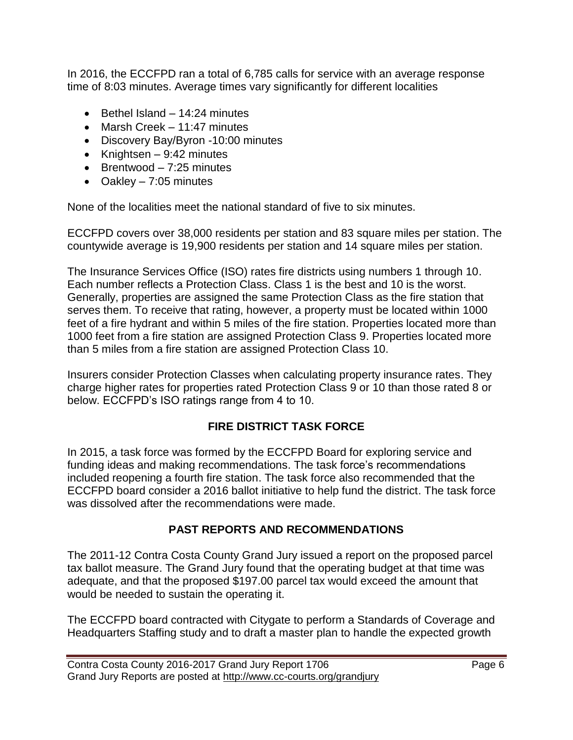In 2016, the ECCFPD ran a total of 6,785 calls for service with an average response time of 8:03 minutes. Average times vary significantly for different localities

- $\bullet$  Bethel Island 14:24 minutes
- Marsh Creek 11:47 minutes
- Discovery Bay/Byron -10:00 minutes
- Knightsen  $9:42$  minutes
- $\bullet$  Brentwood 7:25 minutes
- Oakley  $-7:05$  minutes

None of the localities meet the national standard of five to six minutes.

ECCFPD covers over 38,000 residents per station and 83 square miles per station. The countywide average is 19,900 residents per station and 14 square miles per station.

The Insurance Services Office (ISO) rates fire districts using numbers 1 through 10. Each number reflects a Protection Class. Class 1 is the best and 10 is the worst. Generally, properties are assigned the same Protection Class as the fire station that serves them. To receive that rating, however, a property must be located within 1000 feet of a fire hydrant and within 5 miles of the fire station. Properties located more than 1000 feet from a fire station are assigned Protection Class 9. Properties located more than 5 miles from a fire station are assigned Protection Class 10.

Insurers consider Protection Classes when calculating property insurance rates. They charge higher rates for properties rated Protection Class 9 or 10 than those rated 8 or below. ECCFPD's ISO ratings range from 4 to 10.

#### **FIRE DISTRICT TASK FORCE**

In 2015, a task force was formed by the ECCFPD Board for exploring service and funding ideas and making recommendations. The task force's recommendations included reopening a fourth fire station. The task force also recommended that the ECCFPD board consider a 2016 ballot initiative to help fund the district. The task force was dissolved after the recommendations were made.

#### **PAST REPORTS AND RECOMMENDATIONS**

The 2011-12 Contra Costa County Grand Jury issued a report on the proposed parcel tax ballot measure. The Grand Jury found that the operating budget at that time was adequate, and that the proposed \$197.00 parcel tax would exceed the amount that would be needed to sustain the operating it.

The ECCFPD board contracted with Citygate to perform a Standards of Coverage and Headquarters Staffing study and to draft a master plan to handle the expected growth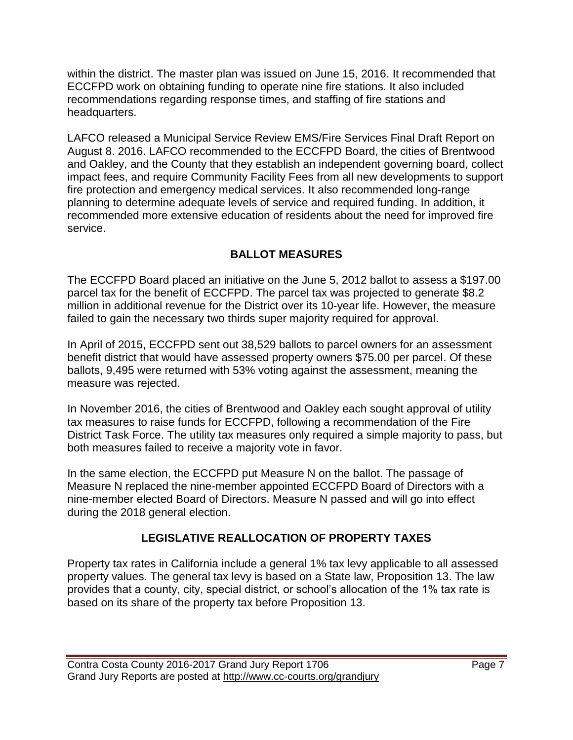within the district. The master plan was issued on June 15, 2016. It recommended that ECCFPD work on obtaining funding to operate nine fire stations. It also included recommendations regarding response times, and staffing of fire stations and headquarters.

LAFCO released a Municipal Service Review EMS/Fire Services Final Draft Report on August 8. 2016. LAFCO recommended to the ECCFPD Board, the cities of Brentwood and Oakley, and the County that they establish an independent governing board, collect impact fees, and require Community Facility Fees from all new developments to support fire protection and emergency medical services. It also recommended long-range planning to determine adequate levels of service and required funding. In addition, it recommended more extensive education of residents about the need for improved fire service.

#### **BALLOT MEASURES**

The ECCFPD Board placed an initiative on the June 5, 2012 ballot to assess a \$197.00 parcel tax for the benefit of ECCFPD. The parcel tax was projected to generate \$8.2 million in additional revenue for the District over its 10-year life. However, the measure failed to gain the necessary two thirds super majority required for approval.

In April of 2015, ECCFPD sent out 38,529 ballots to parcel owners for an assessment benefit district that would have assessed property owners \$75.00 per parcel. Of these ballots, 9,495 were returned with 53% voting against the assessment, meaning the measure was rejected.

In November 2016, the cities of Brentwood and Oakley each sought approval of utility tax measures to raise funds for ECCFPD, following a recommendation of the Fire District Task Force. The utility tax measures only required a simple majority to pass, but both measures failed to receive a majority vote in favor.

In the same election, the ECCFPD put Measure N on the ballot. The passage of Measure N replaced the nine-member appointed ECCFPD Board of Directors with a nine-member elected Board of Directors. Measure N passed and will go into effect during the 2018 general election.

#### **LEGISLATIVE REALLOCATION OF PROPERTY TAXES**

Property tax rates in California include a general 1% tax levy applicable to all assessed property values. The general tax levy is based on a State law, Proposition 13. The law provides that a county, city, special district, or school's allocation of the 1% tax rate is based on its share of the property tax before Proposition 13.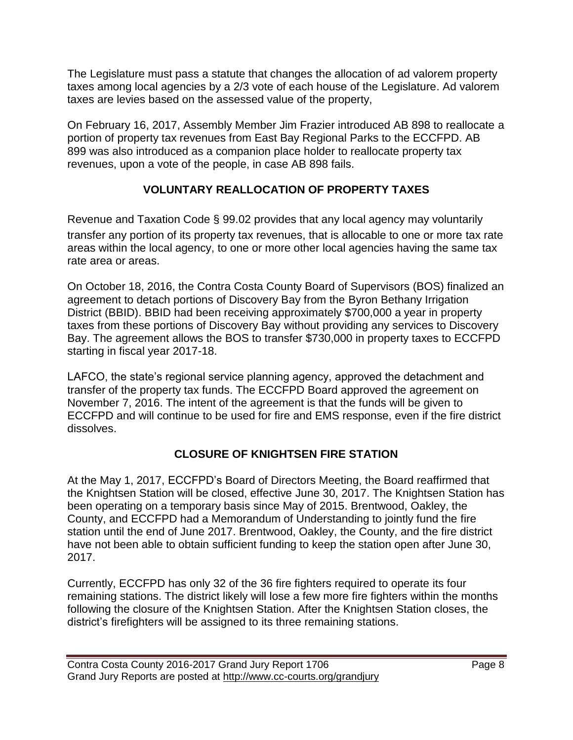The Legislature must pass a statute that changes the allocation of ad valorem property taxes among local agencies by a 2/3 vote of each house of the Legislature. Ad valorem taxes are levies based on the assessed value of the property,

On February 16, 2017, Assembly Member Jim Frazier introduced AB 898 to reallocate a portion of property tax revenues from East Bay Regional Parks to the ECCFPD. AB 899 was also introduced as a companion place holder to reallocate property tax revenues, upon a vote of the people, in case AB 898 fails.

#### **VOLUNTARY REALLOCATION OF PROPERTY TAXES**

Revenue and Taxation Code § 99.02 provides that any local agency may voluntarily transfer any portion of its property tax revenues, that is allocable to one or more tax rate areas within the local agency, to one or more other local agencies having the same tax rate area or areas.

On October 18, 2016, the Contra Costa County Board of Supervisors (BOS) finalized an agreement to detach portions of Discovery Bay from the Byron Bethany Irrigation District (BBID). BBID had been receiving approximately \$700,000 a year in property taxes from these portions of Discovery Bay without providing any services to Discovery Bay. The agreement allows the BOS to transfer \$730,000 in property taxes to ECCFPD starting in fiscal year 2017-18.

LAFCO, the state's regional service planning agency, approved the detachment and transfer of the property tax funds. The ECCFPD Board approved the agreement on November 7, 2016. The intent of the agreement is that the funds will be given to ECCFPD and will continue to be used for fire and EMS response, even if the fire district dissolves.

#### **CLOSURE OF KNIGHTSEN FIRE STATION**

At the May 1, 2017, ECCFPD's Board of Directors Meeting, the Board reaffirmed that the Knightsen Station will be closed, effective June 30, 2017. The Knightsen Station has been operating on a temporary basis since May of 2015. Brentwood, Oakley, the County, and ECCFPD had a Memorandum of Understanding to jointly fund the fire station until the end of June 2017. Brentwood, Oakley, the County, and the fire district have not been able to obtain sufficient funding to keep the station open after June 30, 2017.

Currently, ECCFPD has only 32 of the 36 fire fighters required to operate its four remaining stations. The district likely will lose a few more fire fighters within the months following the closure of the Knightsen Station. After the Knightsen Station closes, the district's firefighters will be assigned to its three remaining stations.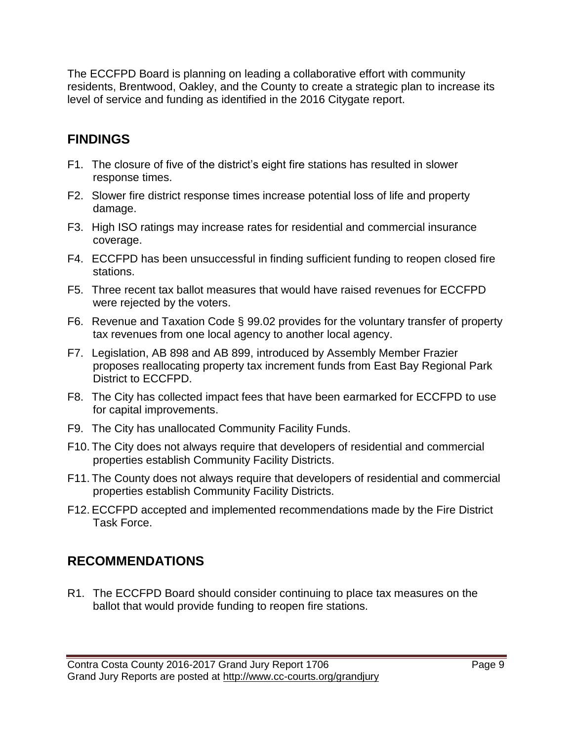The ECCFPD Board is planning on leading a collaborative effort with community residents, Brentwood, Oakley, and the County to create a strategic plan to increase its level of service and funding as identified in the 2016 Citygate report.

### **FINDINGS**

- F1. The closure of five of the district's eight fire stations has resulted in slower response times.
- F2. Slower fire district response times increase potential loss of life and property damage.
- F3. High ISO ratings may increase rates for residential and commercial insurance coverage.
- F4. ECCFPD has been unsuccessful in finding sufficient funding to reopen closed fire stations.
- F5. Three recent tax ballot measures that would have raised revenues for ECCFPD were rejected by the voters.
- F6. Revenue and Taxation Code § 99.02 provides for the voluntary transfer of property tax revenues from one local agency to another local agency.
- F7. Legislation, AB 898 and AB 899, introduced by Assembly Member Frazier proposes reallocating property tax increment funds from East Bay Regional Park District to ECCFPD.
- F8. The City has collected impact fees that have been earmarked for ECCFPD to use for capital improvements.
- F9. The City has unallocated Community Facility Funds.
- F10. The City does not always require that developers of residential and commercial properties establish Community Facility Districts.
- F11. The County does not always require that developers of residential and commercial properties establish Community Facility Districts.
- F12. ECCFPD accepted and implemented recommendations made by the Fire District Task Force.

# **RECOMMENDATIONS**

R1. The ECCFPD Board should consider continuing to place tax measures on the ballot that would provide funding to reopen fire stations.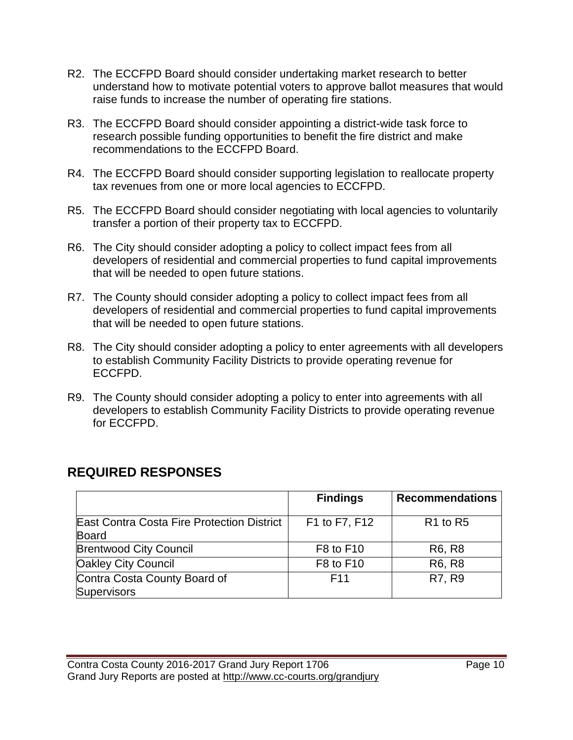- R2. The ECCFPD Board should consider undertaking market research to better understand how to motivate potential voters to approve ballot measures that would raise funds to increase the number of operating fire stations.
- R3. The ECCFPD Board should consider appointing a district-wide task force to research possible funding opportunities to benefit the fire district and make recommendations to the ECCFPD Board.
- R4. The ECCFPD Board should consider supporting legislation to reallocate property tax revenues from one or more local agencies to ECCFPD.
- R5. The ECCFPD Board should consider negotiating with local agencies to voluntarily transfer a portion of their property tax to ECCFPD.
- R6. The City should consider adopting a policy to collect impact fees from all developers of residential and commercial properties to fund capital improvements that will be needed to open future stations.
- R7. The County should consider adopting a policy to collect impact fees from all developers of residential and commercial properties to fund capital improvements that will be needed to open future stations.
- R8. The City should consider adopting a policy to enter agreements with all developers to establish Community Facility Districts to provide operating revenue for ECCFPD.
- R9. The County should consider adopting a policy to enter into agreements with all developers to establish Community Facility Districts to provide operating revenue for ECCFPD.

|                                                            | <b>Findings</b> | <b>Recommendations</b>           |
|------------------------------------------------------------|-----------------|----------------------------------|
| East Contra Costa Fire Protection District<br><b>Board</b> | F1 to F7, F12   | R <sub>1</sub> to R <sub>5</sub> |
| <b>Brentwood City Council</b>                              | F8 to F10       | R <sub>6</sub> , R <sub>8</sub>  |
| <b>Oakley City Council</b>                                 | F8 to F10       | R <sub>6</sub> , R <sub>8</sub>  |
| Contra Costa County Board of<br><b>Supervisors</b>         | F <sub>11</sub> | R7, R9                           |

# **REQUIRED RESPONSES**